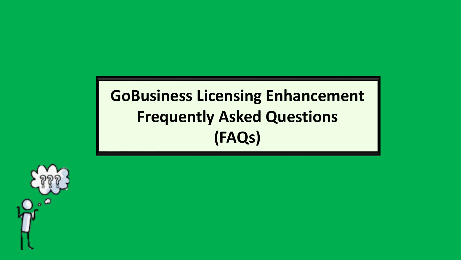# **GoBusiness Licensing Enhancement Frequently Asked Questions (FAQs)**

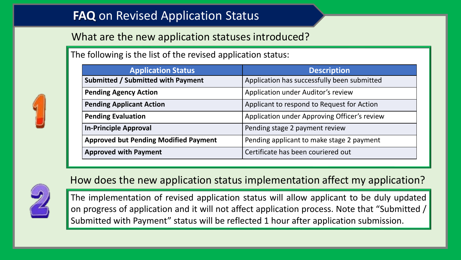## **FAQ** on Revised Application Status

#### What are the new application statuses introduced?

The following is the list of the revised application status:

| <b>Application Status</b>                    | <b>Description</b>                           |  |  |  |  |
|----------------------------------------------|----------------------------------------------|--|--|--|--|
| <b>Submitted / Submitted with Payment</b>    | Application has successfully been submitted  |  |  |  |  |
| <b>Pending Agency Action</b>                 | Application under Auditor's review           |  |  |  |  |
| <b>Pending Applicant Action</b>              | Applicant to respond to Request for Action   |  |  |  |  |
| <b>Pending Evaluation</b>                    | Application under Approving Officer's review |  |  |  |  |
| <b>In-Principle Approval</b>                 | Pending stage 2 payment review               |  |  |  |  |
| <b>Approved but Pending Modified Payment</b> | Pending applicant to make stage 2 payment    |  |  |  |  |
| <b>Approved with Payment</b>                 | Certificate has been couriered out           |  |  |  |  |



How does the new application status implementation affect my application?

The implementation of revised application status will allow applicant to be duly updated on progress of application and it will not affect application process. Note that "Submitted / Submitted with Payment" status will be reflected 1 hour after application submission.

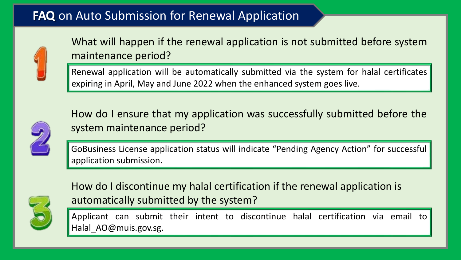## **FAQ** on Auto Submission for Renewal Application



What will happen if the renewal application is not submitted before system maintenance period?

Renewal application will be automatically submitted via the system for halal certificates expiring in April, May and June 2022 when the enhanced system goes live.



How do I ensure that my application was successfully submitted before the system maintenance period?

GoBusiness License application status will indicate "Pending Agency Action" for successful application submission.



How do I discontinue my halal certification if the renewal application is automatically submitted by the system?

Applicant can submit their intent to discontinue halal certification via email to Halal\_AO@muis.gov.sg.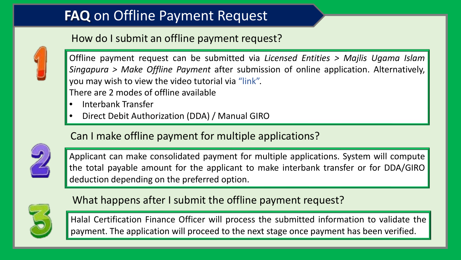## **FAQ** on Offline Payment Request



#### How do I submit an offline payment request?

Offline payment request can be submitted via *Licensed Entities > Majlis Ugama Islam Singapura > Make Offline Payment* after submission of online application. Alternatively, you may wish to view the video tutorial via "link". There are 2 modes of offline available

- Interbank Transfer
- Direct Debit Authorization (DDA) / Manual GIRO

#### Can I make offline payment for multiple applications?



Applicant can make consolidated payment for multiple applications. System will compute the total payable amount for the applicant to make interbank transfer or for DDA/GIRO deduction depending on the preferred option.



What happens after I submit the offline payment request?

Halal Certification Finance Officer will process the submitted information to validate the payment. The application will proceed to the next stage once payment has been verified.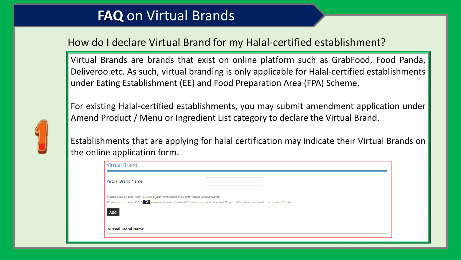## **FAQ** on Virtual Brands

#### How do I declare Virtual Brand for my Halal-certified establishment?

Virtual Brands are brands that exist on online platform such as GrabFood, Food Panda, Deliveroo etc. As such, virtual branding is only applicable for Halal-certified establishments under Eating Establishment (EE) and Food Preparation Area (FPA) Scheme.



For existing Halal-certified establishments, you may submit amendment application under Amend Product / Menu or Ingredient List category to declare the Virtual Brand.

Establishments that are applying for halal certification may indicate their Virtual Brands on the online application form.

| Virtual Brand Name                                                             |                                                                                                                               |  |
|--------------------------------------------------------------------------------|-------------------------------------------------------------------------------------------------------------------------------|--|
| Please click on the "Add" button if you have more than one Virtual Brand Name. | Please click on the "Edit" (C )button to amend Virtual Brand name, and click "Add" again after you have made your amendments. |  |
| Add                                                                            |                                                                                                                               |  |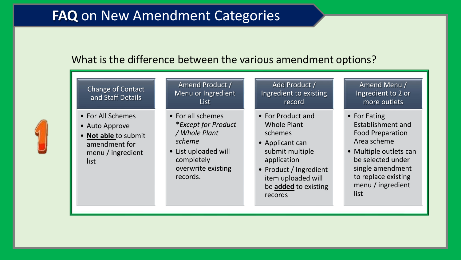## **FAQ** on New Amendment Categories

#### What is the difference between the various amendment options?

#### Change of Contact and Staff Details

- For All Schemes
- Auto Approve
- **Not able** to submit amendment for menu / ingredient list

| Amend Product /    |  |  |  |  |
|--------------------|--|--|--|--|
| Menu or Ingredient |  |  |  |  |
| <b>List</b>        |  |  |  |  |

- For all schemes \**Except for Product / Whole Plant scheme*
- List uploaded will completely overwrite existing records.
- Add Product / Ingredient to existing record
- For Product and Whole Plant schemes
- Applicant can submit multiple application
- Product / Ingredient item uploaded will be **added** to existing records

Amend Menu / Ingredient to 2 or more outlets

- For Eating Establishment and Food Preparation Area scheme
- Multiple outlets can be selected under single amendment to replace existing menu / ingredient list

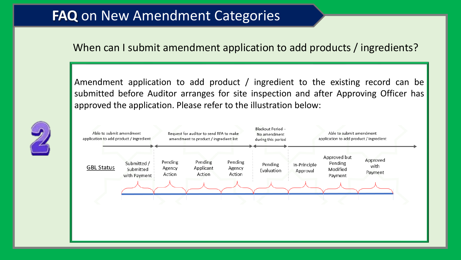## **FAQ** on New Amendment Categories

When can I submit amendment application to add products / ingredients?

Amendment application to add product / ingredient to the existing record can be submitted before Auditor arranges for site inspection and after Approving Officer has approved the application. Please refer to the illustration below:



| Able to submit amendment<br>application to add product / ingredient |                                          | Request for auditor to send RFA to make<br>amendment to product / ingredient list |                                |                             | Blackout Period-<br>No amendment<br>during this period | Able to submit amendment<br>application to add product / ingredient |                                                |                             |  |
|---------------------------------------------------------------------|------------------------------------------|-----------------------------------------------------------------------------------|--------------------------------|-----------------------------|--------------------------------------------------------|---------------------------------------------------------------------|------------------------------------------------|-----------------------------|--|
| <b>GBL Status</b>                                                   | Submitted /<br>Submitted<br>with Payment | Pending<br>Agency<br>Action                                                       | Pending<br>Applicant<br>Action | Pending<br>Agency<br>Action | Pending<br>Evaluation                                  | In-Principle<br>Approval                                            | Approved but<br>Pending<br>Modified<br>Payment | Approved<br>with<br>Payment |  |
|                                                                     |                                          |                                                                                   |                                |                             |                                                        |                                                                     |                                                |                             |  |
|                                                                     |                                          |                                                                                   |                                |                             |                                                        |                                                                     |                                                |                             |  |
|                                                                     |                                          |                                                                                   |                                |                             |                                                        |                                                                     |                                                |                             |  |
|                                                                     |                                          |                                                                                   |                                |                             |                                                        |                                                                     |                                                |                             |  |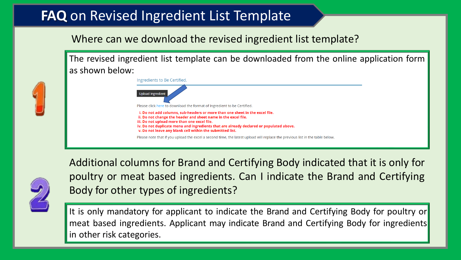## **FAQ** on Revised Ingredient List Template

Where can we download the revised ingredient list template?

The revised ingredient list template can be downloaded from the online application form as shown below:





Additional columns for Brand and Certifying Body indicated that it is only for poultry or meat based ingredients. Can I indicate the Brand and Certifying Body for other types of ingredients?

It is only mandatory for applicant to indicate the Brand and Certifying Body for poultry or meat based ingredients. Applicant may indicate Brand and Certifying Body for ingredients in other risk categories.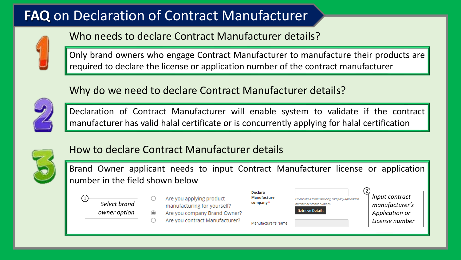## **FAQ** on Declaration of Contract Manufacturer



Who needs to declare Contract Manufacturer details?

Only brand owners who engage Contract Manufacturer to manufacture their products are required to declare the license or application number of the contract manufacturer

#### Why do we need to declare Contract Manufacturer details?



Declaration of Contract Manufacturer will enable system to validate if the contract manufacturer has valid halal certificate or is concurrently applying for halal certification



#### How to declare Contract Manufacturer details

Brand Owner applicant needs to input Contract Manufacturer license or application number in the field shown below

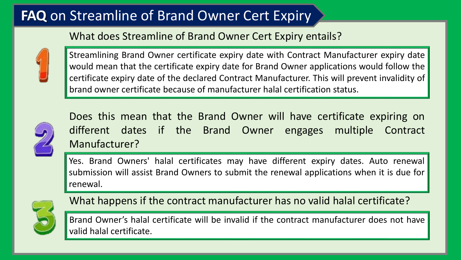## **FAQ** on Streamline of Brand Owner Cert Expiry

#### What does Streamline of Brand Owner Cert Expiry entails?



Streamlining Brand Owner certificate expiry date with Contract Manufacturer expiry date would mean that the certificate expiry date for Brand Owner applications would follow the certificate expiry date of the declared Contract Manufacturer. This will prevent invalidity of brand owner certificate because of manufacturer halal certification status.



Does this mean that the Brand Owner will have certificate expiring on different dates if the Brand Owner engages multiple Contract Manufacturer?

Yes. Brand Owners' halal certificates may have different expiry dates. Auto renewal submission will assist Brand Owners to submit the renewal applications when it is due for renewal.



What happens if the contract manufacturer has no valid halal certificate?

Brand Owner's halal certificate will be invalid if the contract manufacturer does not have valid halal certificate.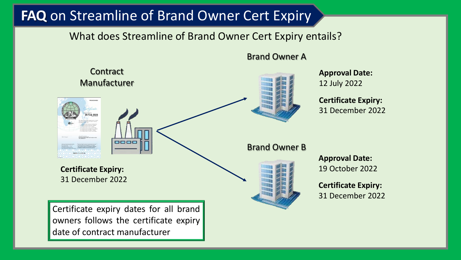## **FAQ** on Streamline of Brand Owner Cert Expiry

### What does Streamline of Brand Owner Cert Expiry entails?



#### Brand Owner A

**Approval Date:**  12 July 2022

**Certificate Expiry:** 31 December 2022

**Approval Date:**  19 October 2022

**Certificate Expiry:** 31 December 2022